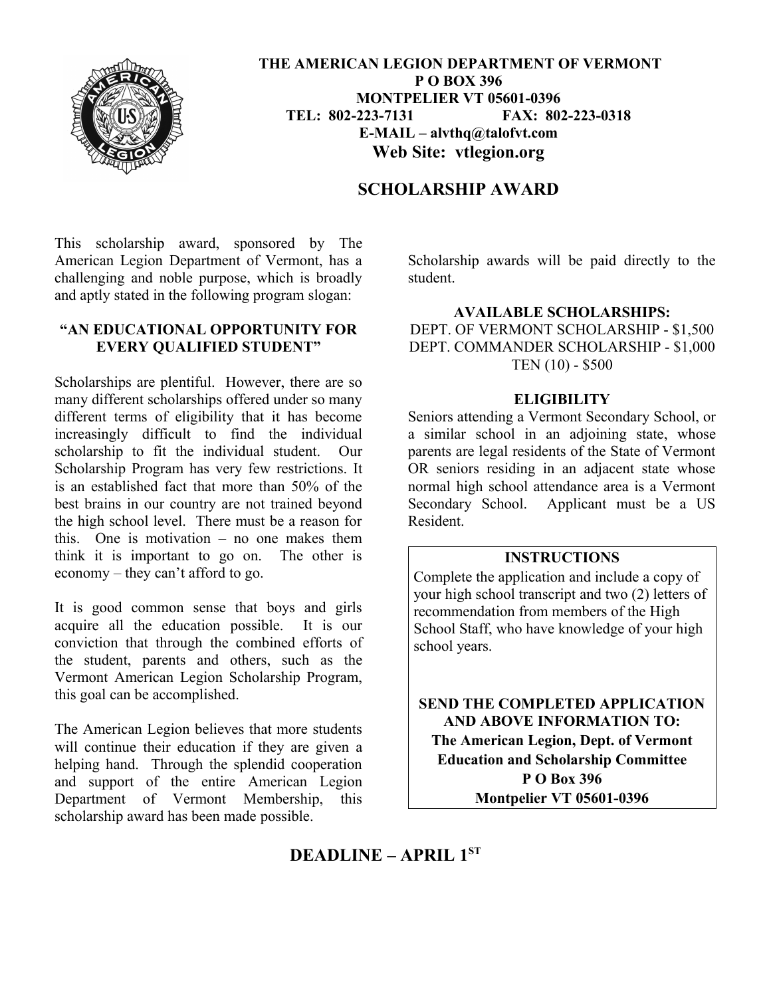

 **THE AMERICAN LEGION DEPARTMENT OF VERMONT P O BOX 396 MONTPELIER VT 05601-0396 TEL: 802-223-7131 FAX: 802-223-0318 E-MAIL – alvthq@talofvt.com Web Site: vtlegion.org**

# **SCHOLARSHIP AWARD**

This scholarship award, sponsored by The American Legion Department of Vermont, has a challenging and noble purpose, which is broadly and aptly stated in the following program slogan:

#### **"AN EDUCATIONAL OPPORTUNITY FOR EVERY QUALIFIED STUDENT"**

Scholarships are plentiful. However, there are so many different scholarships offered under so many different terms of eligibility that it has become increasingly difficult to find the individual scholarship to fit the individual student. Our Scholarship Program has very few restrictions. It is an established fact that more than 50% of the best brains in our country are not trained beyond the high school level. There must be a reason for this. One is motivation – no one makes them think it is important to go on. The other is economy – they can't afford to go.

It is good common sense that boys and girls acquire all the education possible. It is our conviction that through the combined efforts of the student, parents and others, such as the Vermont American Legion Scholarship Program, this goal can be accomplished.

The American Legion believes that more students will continue their education if they are given a helping hand. Through the splendid cooperation and support of the entire American Legion Department of Vermont Membership, this scholarship award has been made possible.

Scholarship awards will be paid directly to the student.

### **AVAILABLE SCHOLARSHIPS:**

DEPT. OF VERMONT SCHOLARSHIP - \$1,500 DEPT. COMMANDER SCHOLARSHIP - \$1,000 TEN (10) - \$500

#### **ELIGIBILITY**

Seniors attending a Vermont Secondary School, or a similar school in an adjoining state, whose parents are legal residents of the State of Vermont OR seniors residing in an adjacent state whose normal high school attendance area is a Vermont Secondary School. Applicant must be a US Resident.

### **INSTRUCTIONS**

Complete the application and include a copy of your high school transcript and two (2) letters of recommendation from members of the High School Staff, who have knowledge of your high school years.

**SEND THE COMPLETED APPLICATION AND ABOVE INFORMATION TO: The American Legion, Dept. of Vermont Education and Scholarship Committee P O Box 396 Montpelier VT 05601-0396**

# **DEADLINE – APRIL 1ST**